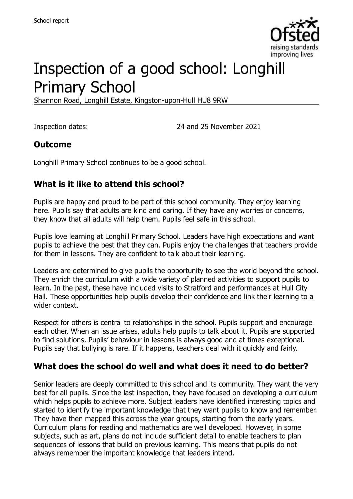

# Inspection of a good school: Longhill Primary School

Shannon Road, Longhill Estate, Kingston-upon-Hull HU8 9RW

Inspection dates: 24 and 25 November 2021

#### **Outcome**

Longhill Primary School continues to be a good school.

### **What is it like to attend this school?**

Pupils are happy and proud to be part of this school community. They enjoy learning here. Pupils say that adults are kind and caring. If they have any worries or concerns, they know that all adults will help them. Pupils feel safe in this school.

Pupils love learning at Longhill Primary School. Leaders have high expectations and want pupils to achieve the best that they can. Pupils enjoy the challenges that teachers provide for them in lessons. They are confident to talk about their learning.

Leaders are determined to give pupils the opportunity to see the world beyond the school. They enrich the curriculum with a wide variety of planned activities to support pupils to learn. In the past, these have included visits to Stratford and performances at Hull City Hall. These opportunities help pupils develop their confidence and link their learning to a wider context.

Respect for others is central to relationships in the school. Pupils support and encourage each other. When an issue arises, adults help pupils to talk about it. Pupils are supported to find solutions. Pupils' behaviour in lessons is always good and at times exceptional. Pupils say that bullying is rare. If it happens, teachers deal with it quickly and fairly.

#### **What does the school do well and what does it need to do better?**

Senior leaders are deeply committed to this school and its community. They want the very best for all pupils. Since the last inspection, they have focused on developing a curriculum which helps pupils to achieve more. Subject leaders have identified interesting topics and started to identify the important knowledge that they want pupils to know and remember. They have then mapped this across the year groups, starting from the early years. Curriculum plans for reading and mathematics are well developed. However, in some subjects, such as art, plans do not include sufficient detail to enable teachers to plan sequences of lessons that build on previous learning. This means that pupils do not always remember the important knowledge that leaders intend.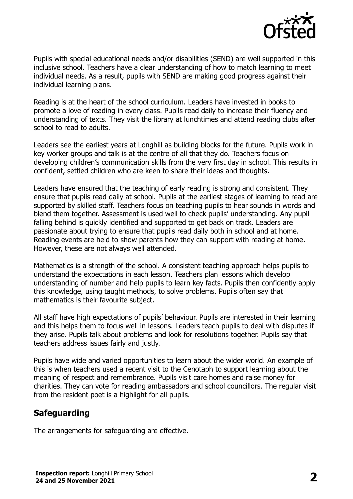

Pupils with special educational needs and/or disabilities (SEND) are well supported in this inclusive school. Teachers have a clear understanding of how to match learning to meet individual needs. As a result, pupils with SEND are making good progress against their individual learning plans.

Reading is at the heart of the school curriculum. Leaders have invested in books to promote a love of reading in every class. Pupils read daily to increase their fluency and understanding of texts. They visit the library at lunchtimes and attend reading clubs after school to read to adults.

Leaders see the earliest years at Longhill as building blocks for the future. Pupils work in key worker groups and talk is at the centre of all that they do. Teachers focus on developing children's communication skills from the very first day in school. This results in confident, settled children who are keen to share their ideas and thoughts.

Leaders have ensured that the teaching of early reading is strong and consistent. They ensure that pupils read daily at school. Pupils at the earliest stages of learning to read are supported by skilled staff. Teachers focus on teaching pupils to hear sounds in words and blend them together. Assessment is used well to check pupils' understanding. Any pupil falling behind is quickly identified and supported to get back on track. Leaders are passionate about trying to ensure that pupils read daily both in school and at home. Reading events are held to show parents how they can support with reading at home. However, these are not always well attended.

Mathematics is a strength of the school. A consistent teaching approach helps pupils to understand the expectations in each lesson. Teachers plan lessons which develop understanding of number and help pupils to learn key facts. Pupils then confidently apply this knowledge, using taught methods, to solve problems. Pupils often say that mathematics is their favourite subject.

All staff have high expectations of pupils' behaviour. Pupils are interested in their learning and this helps them to focus well in lessons. Leaders teach pupils to deal with disputes if they arise. Pupils talk about problems and look for resolutions together. Pupils say that teachers address issues fairly and justly.

Pupils have wide and varied opportunities to learn about the wider world. An example of this is when teachers used a recent visit to the Cenotaph to support learning about the meaning of respect and remembrance. Pupils visit care homes and raise money for charities. They can vote for reading ambassadors and school councillors. The regular visit from the resident poet is a highlight for all pupils.

# **Safeguarding**

The arrangements for safeguarding are effective.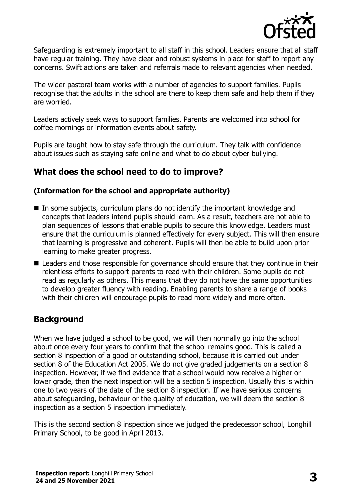

Safeguarding is extremely important to all staff in this school. Leaders ensure that all staff have regular training. They have clear and robust systems in place for staff to report any concerns. Swift actions are taken and referrals made to relevant agencies when needed.

The wider pastoral team works with a number of agencies to support families. Pupils recognise that the adults in the school are there to keep them safe and help them if they are worried.

Leaders actively seek ways to support families. Parents are welcomed into school for coffee mornings or information events about safety.

Pupils are taught how to stay safe through the curriculum. They talk with confidence about issues such as staying safe online and what to do about cyber bullying.

### **What does the school need to do to improve?**

#### **(Information for the school and appropriate authority)**

- In some subjects, curriculum plans do not identify the important knowledge and concepts that leaders intend pupils should learn. As a result, teachers are not able to plan sequences of lessons that enable pupils to secure this knowledge. Leaders must ensure that the curriculum is planned effectively for every subject. This will then ensure that learning is progressive and coherent. Pupils will then be able to build upon prior learning to make greater progress.
- Leaders and those responsible for governance should ensure that they continue in their relentless efforts to support parents to read with their children. Some pupils do not read as regularly as others. This means that they do not have the same opportunities to develop greater fluency with reading. Enabling parents to share a range of books with their children will encourage pupils to read more widely and more often.

# **Background**

When we have judged a school to be good, we will then normally go into the school about once every four years to confirm that the school remains good. This is called a section 8 inspection of a good or outstanding school, because it is carried out under section 8 of the Education Act 2005. We do not give graded judgements on a section 8 inspection. However, if we find evidence that a school would now receive a higher or lower grade, then the next inspection will be a section 5 inspection. Usually this is within one to two years of the date of the section 8 inspection. If we have serious concerns about safeguarding, behaviour or the quality of education, we will deem the section 8 inspection as a section 5 inspection immediately.

This is the second section 8 inspection since we judged the predecessor school, Longhill Primary School, to be good in April 2013.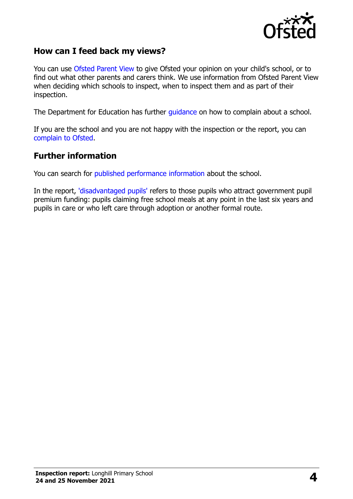

#### **How can I feed back my views?**

You can use [Ofsted Parent View](https://parentview.ofsted.gov.uk/) to give Ofsted your opinion on your child's school, or to find out what other parents and carers think. We use information from Ofsted Parent View when deciding which schools to inspect, when to inspect them and as part of their inspection.

The Department for Education has further [guidance](http://www.gov.uk/complain-about-school) on how to complain about a school.

If you are the school and you are not happy with the inspection or the report, you can [complain to Ofsted.](https://www.gov.uk/complain-ofsted-report)

#### **Further information**

You can search for [published performance information](http://www.compare-school-performance.service.gov.uk/) about the school.

In the report, ['disadvantaged pupils'](http://www.gov.uk/guidance/pupil-premium-information-for-schools-and-alternative-provision-settings) refers to those pupils who attract government pupil premium funding: pupils claiming free school meals at any point in the last six years and pupils in care or who left care through adoption or another formal route.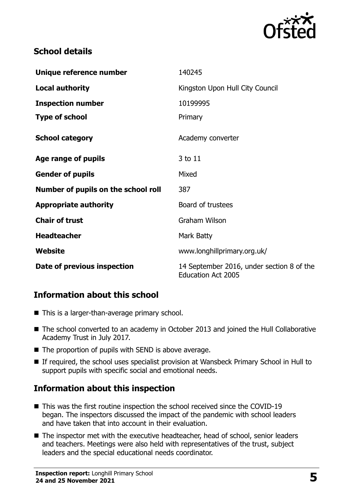

## **School details**

| Unique reference number             | 140245                                                                 |
|-------------------------------------|------------------------------------------------------------------------|
| <b>Local authority</b>              | Kingston Upon Hull City Council                                        |
| <b>Inspection number</b>            | 10199995                                                               |
| <b>Type of school</b>               | Primary                                                                |
| <b>School category</b>              | Academy converter                                                      |
| Age range of pupils                 | 3 to 11                                                                |
| <b>Gender of pupils</b>             | Mixed                                                                  |
| Number of pupils on the school roll | 387                                                                    |
| <b>Appropriate authority</b>        | Board of trustees                                                      |
| <b>Chair of trust</b>               | <b>Graham Wilson</b>                                                   |
| <b>Headteacher</b>                  | Mark Batty                                                             |
| Website                             | www.longhillprimary.org.uk/                                            |
| Date of previous inspection         | 14 September 2016, under section 8 of the<br><b>Education Act 2005</b> |

# **Information about this school**

- This is a larger-than-average primary school.
- The school converted to an academy in October 2013 and joined the Hull Collaborative Academy Trust in July 2017.
- $\blacksquare$  The proportion of pupils with SEND is above average.
- If required, the school uses specialist provision at Wansbeck Primary School in Hull to support pupils with specific social and emotional needs.

# **Information about this inspection**

- This was the first routine inspection the school received since the COVID-19 began. The inspectors discussed the impact of the pandemic with school leaders and have taken that into account in their evaluation.
- The inspector met with the executive headteacher, head of school, senior leaders and teachers. Meetings were also held with representatives of the trust, subject leaders and the special educational needs coordinator.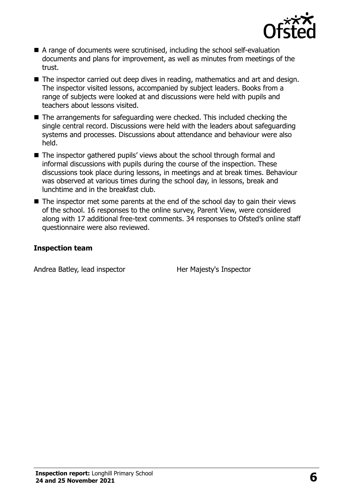

- A range of documents were scrutinised, including the school self-evaluation documents and plans for improvement, as well as minutes from meetings of the trust.
- The inspector carried out deep dives in reading, mathematics and art and design. The inspector visited lessons, accompanied by subject leaders. Books from a range of subjects were looked at and discussions were held with pupils and teachers about lessons visited.
- The arrangements for safeguarding were checked. This included checking the single central record. Discussions were held with the leaders about safeguarding systems and processes. Discussions about attendance and behaviour were also held.
- The inspector gathered pupils' views about the school through formal and informal discussions with pupils during the course of the inspection. These discussions took place during lessons, in meetings and at break times. Behaviour was observed at various times during the school day, in lessons, break and lunchtime and in the breakfast club.
- The inspector met some parents at the end of the school day to gain their views of the school. 16 responses to the online survey, Parent View, were considered along with 17 additional free-text comments. 34 responses to Ofsted's online staff questionnaire were also reviewed.

#### **Inspection team**

Andrea Batley, lead inspector Her Majesty's Inspector